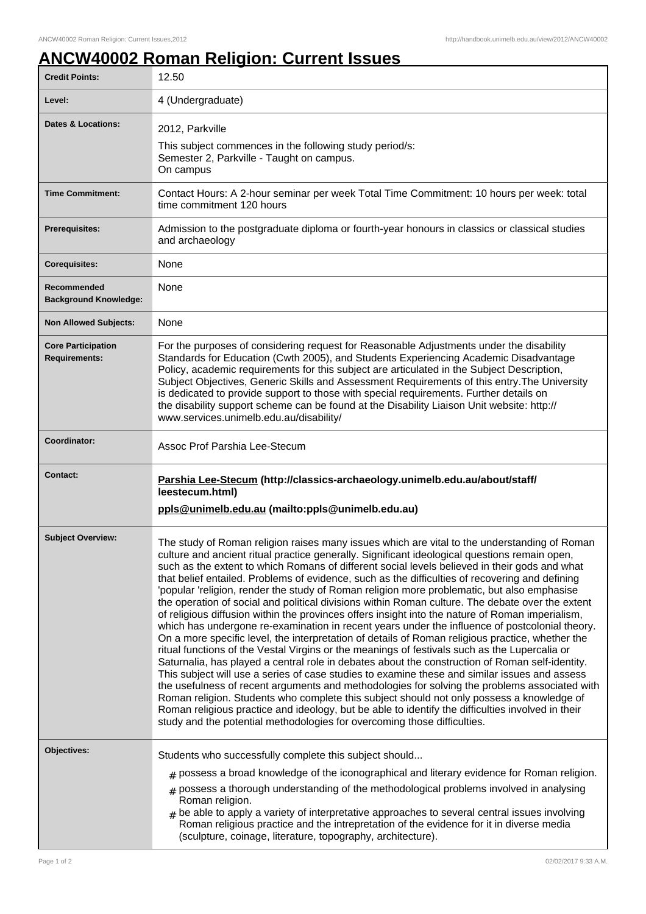## **ANCW40002 Roman Religion: Current Issues**

| <b>Credit Points:</b>                             | 12.50                                                                                                                                                                                                                                                                                                                                                                                                                                                                                                                                                                                                                                                                                                                                                                                                                                                                                                                                                                                                                                                                                                                                                                                                                                                                                                                                                                                                                                                                                                                                                                                              |
|---------------------------------------------------|----------------------------------------------------------------------------------------------------------------------------------------------------------------------------------------------------------------------------------------------------------------------------------------------------------------------------------------------------------------------------------------------------------------------------------------------------------------------------------------------------------------------------------------------------------------------------------------------------------------------------------------------------------------------------------------------------------------------------------------------------------------------------------------------------------------------------------------------------------------------------------------------------------------------------------------------------------------------------------------------------------------------------------------------------------------------------------------------------------------------------------------------------------------------------------------------------------------------------------------------------------------------------------------------------------------------------------------------------------------------------------------------------------------------------------------------------------------------------------------------------------------------------------------------------------------------------------------------------|
| Level:                                            | 4 (Undergraduate)                                                                                                                                                                                                                                                                                                                                                                                                                                                                                                                                                                                                                                                                                                                                                                                                                                                                                                                                                                                                                                                                                                                                                                                                                                                                                                                                                                                                                                                                                                                                                                                  |
| <b>Dates &amp; Locations:</b>                     | 2012, Parkville<br>This subject commences in the following study period/s:<br>Semester 2, Parkville - Taught on campus.<br>On campus                                                                                                                                                                                                                                                                                                                                                                                                                                                                                                                                                                                                                                                                                                                                                                                                                                                                                                                                                                                                                                                                                                                                                                                                                                                                                                                                                                                                                                                               |
| <b>Time Commitment:</b>                           | Contact Hours: A 2-hour seminar per week Total Time Commitment: 10 hours per week: total<br>time commitment 120 hours                                                                                                                                                                                                                                                                                                                                                                                                                                                                                                                                                                                                                                                                                                                                                                                                                                                                                                                                                                                                                                                                                                                                                                                                                                                                                                                                                                                                                                                                              |
| <b>Prerequisites:</b>                             | Admission to the postgraduate diploma or fourth-year honours in classics or classical studies<br>and archaeology                                                                                                                                                                                                                                                                                                                                                                                                                                                                                                                                                                                                                                                                                                                                                                                                                                                                                                                                                                                                                                                                                                                                                                                                                                                                                                                                                                                                                                                                                   |
| <b>Corequisites:</b>                              | None                                                                                                                                                                                                                                                                                                                                                                                                                                                                                                                                                                                                                                                                                                                                                                                                                                                                                                                                                                                                                                                                                                                                                                                                                                                                                                                                                                                                                                                                                                                                                                                               |
| Recommended<br><b>Background Knowledge:</b>       | None                                                                                                                                                                                                                                                                                                                                                                                                                                                                                                                                                                                                                                                                                                                                                                                                                                                                                                                                                                                                                                                                                                                                                                                                                                                                                                                                                                                                                                                                                                                                                                                               |
| <b>Non Allowed Subjects:</b>                      | None                                                                                                                                                                                                                                                                                                                                                                                                                                                                                                                                                                                                                                                                                                                                                                                                                                                                                                                                                                                                                                                                                                                                                                                                                                                                                                                                                                                                                                                                                                                                                                                               |
| <b>Core Participation</b><br><b>Requirements:</b> | For the purposes of considering request for Reasonable Adjustments under the disability<br>Standards for Education (Cwth 2005), and Students Experiencing Academic Disadvantage<br>Policy, academic requirements for this subject are articulated in the Subject Description,<br>Subject Objectives, Generic Skills and Assessment Requirements of this entry. The University<br>is dedicated to provide support to those with special requirements. Further details on<br>the disability support scheme can be found at the Disability Liaison Unit website: http://<br>www.services.unimelb.edu.au/disability/                                                                                                                                                                                                                                                                                                                                                                                                                                                                                                                                                                                                                                                                                                                                                                                                                                                                                                                                                                                   |
| Coordinator:                                      | Assoc Prof Parshia Lee-Stecum                                                                                                                                                                                                                                                                                                                                                                                                                                                                                                                                                                                                                                                                                                                                                                                                                                                                                                                                                                                                                                                                                                                                                                                                                                                                                                                                                                                                                                                                                                                                                                      |
| <b>Contact:</b>                                   |                                                                                                                                                                                                                                                                                                                                                                                                                                                                                                                                                                                                                                                                                                                                                                                                                                                                                                                                                                                                                                                                                                                                                                                                                                                                                                                                                                                                                                                                                                                                                                                                    |
|                                                   | Parshia Lee-Stecum (http://classics-archaeology.unimelb.edu.au/about/staff/<br>leestecum.html)<br>ppls@unimelb.edu.au (mailto:ppls@unimelb.edu.au)                                                                                                                                                                                                                                                                                                                                                                                                                                                                                                                                                                                                                                                                                                                                                                                                                                                                                                                                                                                                                                                                                                                                                                                                                                                                                                                                                                                                                                                 |
| <b>Subject Overview:</b>                          | The study of Roman religion raises many issues which are vital to the understanding of Roman<br>culture and ancient ritual practice generally. Significant ideological questions remain open,<br>such as the extent to which Romans of different social levels believed in their gods and what<br>that belief entailed. Problems of evidence, such as the difficulties of recovering and defining<br>'popular 'religion, render the study of Roman religion more problematic, but also emphasise<br>the operation of social and political divisions within Roman culture. The debate over the extent<br>of religious diffusion within the provinces offers insight into the nature of Roman imperialism,<br>which has undergone re-examination in recent years under the influence of postcolonial theory.<br>On a more specific level, the interpretation of details of Roman religious practice, whether the<br>ritual functions of the Vestal Virgins or the meanings of festivals such as the Lupercalia or<br>Saturnalia, has played a central role in debates about the construction of Roman self-identity.<br>This subject will use a series of case studies to examine these and similar issues and assess<br>the usefulness of recent arguments and methodologies for solving the problems associated with<br>Roman religion. Students who complete this subject should not only possess a knowledge of<br>Roman religious practice and ideology, but be able to identify the difficulties involved in their<br>study and the potential methodologies for overcoming those difficulties. |